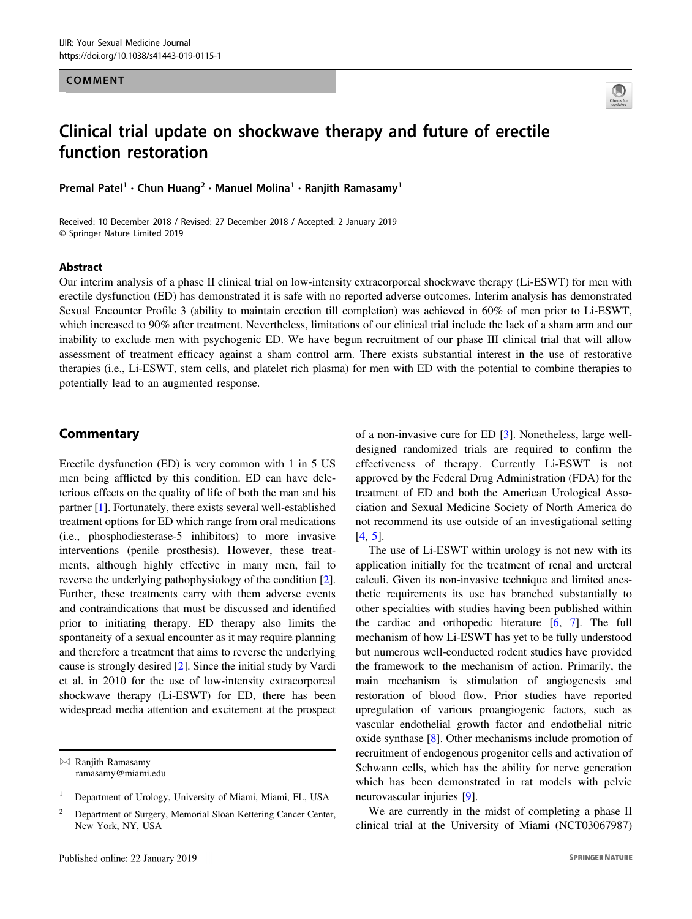## COMMENT



# Clinical trial update on shockwave therapy and future of erectile function restoration

Premal Patel • Chun Huang • Manuel Molina • Kanjith Kamasamy

Received: 10 December 2018 / Revised: 27 December 2018 / Accepted: 2 January 2019 © Springer Nature Limited 2019

#### Abstract

Our interim analysis of a phase II clinical trial on low-intensity extracorporeal shockwave therapy (Li-ESWT) for men with erectile dysfunction (ED) has demonstrated it is safe with no reported adverse outcomes. Interim analysis has demonstrated Sexual Encounter Profile 3 (ability to maintain erection till completion) was achieved in 60% of men prior to Li-ESWT, which increased to 90% after treatment. Nevertheless, limitations of our clinical trial include the lack of a sham arm and our inability to exclude men with psychogenic ED. We have begun recruitment of our phase III clinical trial that will allow assessment of treatment efficacy against a sham control arm. There exists substantial interest in the use of restorative therapies (i.e., Li-ESWT, stem cells, and platelet rich plasma) for men with ED with the potential to combine therapies to potentially lead to an augmented response.

### Commentary

Erectile dysfunction (ED) is very common with 1 in 5 US men being afflicted by this condition. ED can have deleterious effects on the quality of life of both the man and his partner [\[1](#page-2-0)]. Fortunately, there exists several well-established treatment options for ED which range from oral medications (i.e., phosphodiesterase-5 inhibitors) to more invasive interventions (penile prosthesis). However, these treatments, although highly effective in many men, fail to reverse the underlying pathophysiology of the condition [\[2](#page-2-0)]. Further, these treatments carry with them adverse events and contraindications that must be discussed and identified prior to initiating therapy. ED therapy also limits the spontaneity of a sexual encounter as it may require planning and therefore a treatment that aims to reverse the underlying cause is strongly desired [\[2](#page-2-0)]. Since the initial study by Vardi et al. in 2010 for the use of low-intensity extracorporeal shockwave therapy (Li-ESWT) for ED, there has been widespread media attention and excitement at the prospect

 $\boxtimes$  Ranjith Ramasamy [ramasamy@miami.edu](mailto:ramasamy@miami.edu) of a non-invasive cure for ED [\[3](#page-2-0)]. Nonetheless, large welldesigned randomized trials are required to confirm the effectiveness of therapy. Currently Li-ESWT is not approved by the Federal Drug Administration (FDA) for the treatment of ED and both the American Urological Association and Sexual Medicine Society of North America do not recommend its use outside of an investigational setting  $[4, 5]$  $[4, 5]$  $[4, 5]$  $[4, 5]$ .

The use of Li-ESWT within urology is not new with its application initially for the treatment of renal and ureteral calculi. Given its non-invasive technique and limited anesthetic requirements its use has branched substantially to other specialties with studies having been published within the cardiac and orthopedic literature [\[6](#page-2-0), [7\]](#page-2-0). The full mechanism of how Li-ESWT has yet to be fully understood but numerous well-conducted rodent studies have provided the framework to the mechanism of action. Primarily, the main mechanism is stimulation of angiogenesis and restoration of blood flow. Prior studies have reported upregulation of various proangiogenic factors, such as vascular endothelial growth factor and endothelial nitric oxide synthase [[8\]](#page-2-0). Other mechanisms include promotion of recruitment of endogenous progenitor cells and activation of Schwann cells, which has the ability for nerve generation which has been demonstrated in rat models with pelvic neurovascular injuries [[9\]](#page-2-0).

We are currently in the midst of completing a phase II clinical trial at the University of Miami (NCT03067987)

<sup>1</sup> Department of Urology, University of Miami, Miami, FL, USA

<sup>2</sup> Department of Surgery, Memorial Sloan Kettering Cancer Center, New York, NY, USA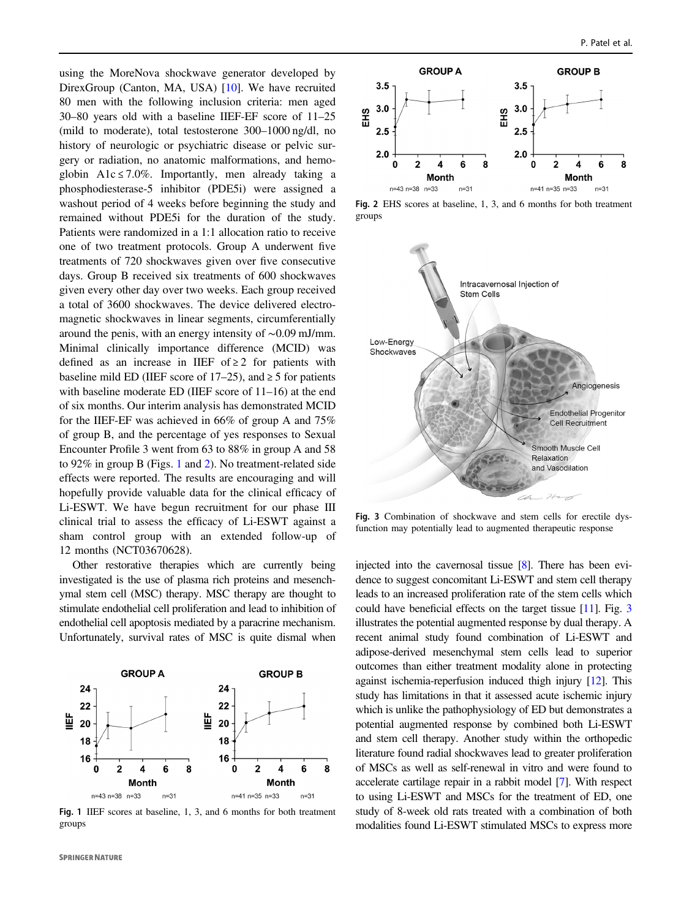using the MoreNova shockwave generator developed by DirexGroup (Canton, MA, USA) [\[10](#page-2-0)]. We have recruited 80 men with the following inclusion criteria: men aged 30–80 years old with a baseline IIEF-EF score of 11–25 (mild to moderate), total testosterone 300–1000 ng/dl, no history of neurologic or psychiatric disease or pelvic surgery or radiation, no anatomic malformations, and hemoglobin A1c  $\leq 7.0\%$ . Importantly, men already taking a phosphodiesterase-5 inhibitor (PDE5i) were assigned a washout period of 4 weeks before beginning the study and remained without PDE5i for the duration of the study. Patients were randomized in a 1:1 allocation ratio to receive one of two treatment protocols. Group A underwent five treatments of 720 shockwaves given over five consecutive days. Group B received six treatments of 600 shockwaves given every other day over two weeks. Each group received a total of 3600 shockwaves. The device delivered electromagnetic shockwaves in linear segments, circumferentially around the penis, with an energy intensity of ∼0.09 mJ/mm. Minimal clinically importance difference (MCID) was defined as an increase in IIEF of  $\geq 2$  for patients with baseline mild ED (IIEF score of  $17-25$ ), and  $\geq 5$  for patients with baseline moderate ED (IIEF score of 11–16) at the end of six months. Our interim analysis has demonstrated MCID for the IIEF-EF was achieved in 66% of group A and 75% of group B, and the percentage of yes responses to Sexual Encounter Profile 3 went from 63 to 88% in group A and 58 to 92% in group B (Figs. 1 and 2). No treatment-related side effects were reported. The results are encouraging and will hopefully provide valuable data for the clinical efficacy of Li-ESWT. We have begun recruitment for our phase III clinical trial to assess the efficacy of Li-ESWT against a sham control group with an extended follow-up of 12 months (NCT03670628).

Other restorative therapies which are currently being investigated is the use of plasma rich proteins and mesenchymal stem cell (MSC) therapy. MSC therapy are thought to stimulate endothelial cell proliferation and lead to inhibition of endothelial cell apoptosis mediated by a paracrine mechanism. Unfortunately, survival rates of MSC is quite dismal when



Fig. 1 IIEF scores at baseline, 1, 3, and 6 months for both treatment groups



Fig. 2 EHS scores at baseline, 1, 3, and 6 months for both treatment groups



Fig. 3 Combination of shockwave and stem cells for erectile dysfunction may potentially lead to augmented therapeutic response

injected into the cavernosal tissue [\[8\]](#page-2-0). There has been evidence to suggest concomitant Li-ESWT and stem cell therapy leads to an increased proliferation rate of the stem cells which could have beneficial effects on the target tissue [\[11\]](#page-2-0). Fig. 3 illustrates the potential augmented response by dual therapy. A recent animal study found combination of Li-ESWT and adipose-derived mesenchymal stem cells lead to superior outcomes than either treatment modality alone in protecting against ischemia-reperfusion induced thigh injury [\[12\]](#page-2-0). This study has limitations in that it assessed acute ischemic injury which is unlike the pathophysiology of ED but demonstrates a potential augmented response by combined both Li-ESWT and stem cell therapy. Another study within the orthopedic literature found radial shockwaves lead to greater proliferation of MSCs as well as self-renewal in vitro and were found to accelerate cartilage repair in a rabbit model [\[7](#page-2-0)]. With respect to using Li-ESWT and MSCs for the treatment of ED, one study of 8-week old rats treated with a combination of both modalities found Li-ESWT stimulated MSCs to express more